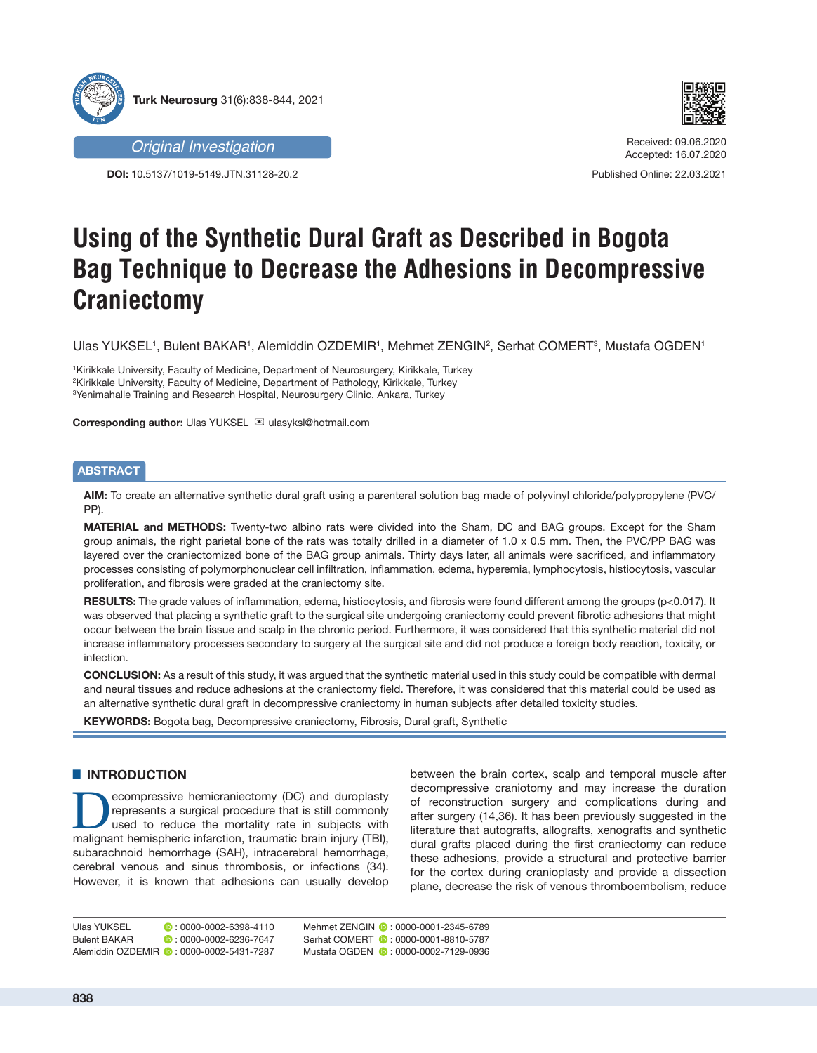





Received: 09.06.2020 Accepted: 16.07.2020

Published Online: 22.03.2021

# **Using of the Synthetic Dural Graft as Described in Bogota Bag Technique to Decrease the Adhesions in Decompressive Craniectomy**

Ulas YUKSEL1, Bulent BAKAR1, Alemiddin OZDEMIR1, Mehmet ZENGIN², Serhat COMERT3, Mustafa OGDEN1

1 Kirikkale University, Faculty of Medicine, Department of Neurosurgery, Kirikkale, Turkey 2 Kirikkale University, Faculty of Medicine, Department of Pathology, Kirikkale, Turkey 3 Yenimahalle Training and Research Hospital, Neurosurgery Clinic, Ankara, Turkey

**Corresponding author: Ulas YUKSEL**  $\textbf{⊠}$  **ulasyksl@hotmail.com** 

# **ABSTRACT**

**AIM:** To create an alternative synthetic dural graft using a parenteral solution bag made of polyvinyl chloride/polypropylene (PVC/ PP).

**MATERIAL and METHODS:** Twenty-two albino rats were divided into the Sham, DC and BAG groups. Except for the Sham group animals, the right parietal bone of the rats was totally drilled in a diameter of 1.0 x 0.5 mm. Then, the PVC/PP BAG was layered over the craniectomized bone of the BAG group animals. Thirty days later, all animals were sacrificed, and inflammatory processes consisting of polymorphonuclear cell infiltration, inflammation, edema, hyperemia, lymphocytosis, histiocytosis, vascular proliferation, and fibrosis were graded at the craniectomy site.

**RESULTS:** The grade values of inflammation, edema, histiocytosis, and fibrosis were found different among the groups (p<0.017). It was observed that placing a synthetic graft to the surgical site undergoing craniectomy could prevent fibrotic adhesions that might occur between the brain tissue and scalp in the chronic period. Furthermore, it was considered that this synthetic material did not increase inflammatory processes secondary to surgery at the surgical site and did not produce a foreign body reaction, toxicity, or infection.

**CONCLUSION:** As a result of this study, it was argued that the synthetic material used in this study could be compatible with dermal and neural tissues and reduce adhesions at the craniectomy field. Therefore, it was considered that this material could be used as an alternative synthetic dural graft in decompressive craniectomy in human subjects after detailed toxicity studies.

**KEYWORDS:** Bogota bag, Decompressive craniectomy, Fibrosis, Dural graft, Synthetic

# $\blacksquare$  **INTRODUCTION**

ecompressive hemicraniectomy (DC) and duroplasty represents a surgical procedure that is still commonly used to reduce the mortality rate in subjects with malignant hemispheric infarction, traumatic brain injury (TBI), subarachnoid hemorrhage (SAH), intracerebral hemorrhage, cerebral venous and sinus thrombosis, or infections (34). However, it is known that adhesions can usually develop

between the brain cortex, scalp and temporal muscle after decompressive craniotomy and may increase the duration of reconstruction surgery and complications during and after surgery (14,36). It has been previously suggested in the literature that autografts, allografts, xenografts and synthetic dural grafts placed during the first craniectomy can reduce these adhesions, provide a structural and protective barrier for the cortex during cranioplasty and provide a dissection plane, decrease the risk of venous thromboembolism, reduce

Ulas YUKSEL **: 0000-0002-6398-4110** Bulent BAKAR **:** 0000-0002-6236-7647 Alemiddin OZDEMIR **: 0000-0002-5431-7287** 

Mehmet ZENGIN **0** : 0000-0001-2345-6789 Serhat COMERT  $\bullet$ : 0000-0001-8810-5787 Mustafa OGDEN  $\bullet$ : 0000-0002-7129-0936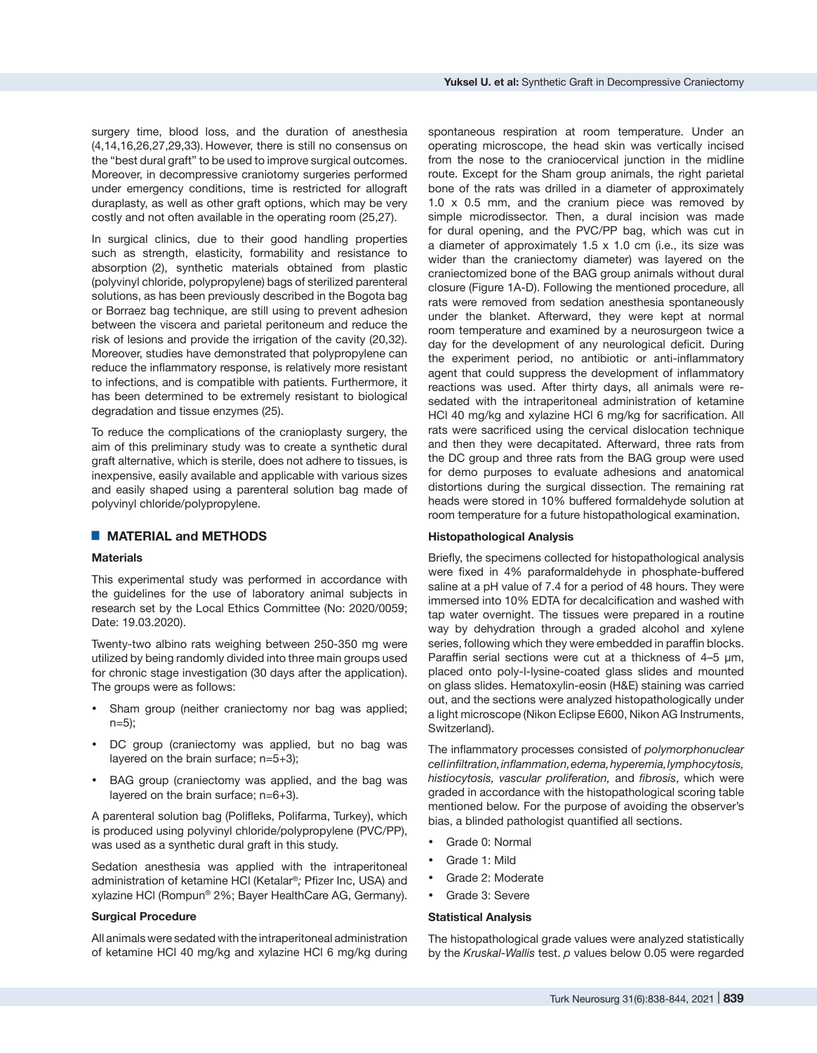surgery time, blood loss, and the duration of anesthesia (4,14,16,26,27,29,33). However, there is still no consensus on the "best dural graft" to be used to improve surgical outcomes. Moreover, in decompressive craniotomy surgeries performed under emergency conditions, time is restricted for allograft duraplasty, as well as other graft options, which may be very costly and not often available in the operating room (25,27).

In surgical clinics, due to their good handling properties such as strength, elasticity, formability and resistance to absorption (2), synthetic materials obtained from plastic (polyvinyl chloride, polypropylene) bags of sterilized parenteral solutions, as has been previously described in the Bogota bag or Borraez bag technique, are still using to prevent adhesion between the viscera and parietal peritoneum and reduce the risk of lesions and provide the irrigation of the cavity (20,32). Moreover, studies have demonstrated that polypropylene can reduce the inflammatory response, is relatively more resistant to infections, and is compatible with patients. Furthermore, it has been determined to be extremely resistant to biological degradation and tissue enzymes (25).

To reduce the complications of the cranioplasty surgery, the aim of this preliminary study was to create a synthetic dural graft alternative, which is sterile, does not adhere to tissues, is inexpensive, easily available and applicable with various sizes and easily shaped using a parenteral solution bag made of polyvinyl chloride/polypropylene.

# █ **MATERIAL and METHODS**

## **Materials**

This experimental study was performed in accordance with the guidelines for the use of laboratory animal subjects in research set by the Local Ethics Committee (No: 2020/0059; Date: 19.03.2020).

Twenty-two albino rats weighing between 250-350 mg were utilized by being randomly divided into three main groups used for chronic stage investigation (30 days after the application). The groups were as follows:

- Sham group (neither craniectomy nor bag was applied; n=5);
- DC group (craniectomy was applied, but no bag was layered on the brain surface; n=5+3);
- BAG group (craniectomy was applied, and the bag was layered on the brain surface; n=6+3).

A parenteral solution bag (Polifleks, Polifarma, Turkey), which is produced using polyvinyl chloride/polypropylene (PVC/PP), was used as a synthetic dural graft in this study.

Sedation anesthesia was applied with the intraperitoneal administration of ketamine HCl (Ketalar®*;* Pfizer Inc, USA) and xylazine HCl (Rompun® 2%; Bayer HealthCare AG, Germany).

## **Surgical Procedure**

All animals were sedated with the intraperitoneal administration of ketamine HCl 40 mg/kg and xylazine HCl 6 mg/kg during

spontaneous respiration at room temperature. Under an operating microscope, the head skin was vertically incised from the nose to the craniocervical junction in the midline route. Except for the Sham group animals, the right parietal bone of the rats was drilled in a diameter of approximately 1.0 x 0.5 mm, and the cranium piece was removed by simple microdissector. Then, a dural incision was made for dural opening, and the PVC/PP bag, which was cut in a diameter of approximately 1.5 x 1.0 cm (i.e., its size was wider than the craniectomy diameter) was layered on the craniectomized bone of the BAG group animals without dural closure (Figure 1A-D). Following the mentioned procedure, all rats were removed from sedation anesthesia spontaneously under the blanket. Afterward, they were kept at normal room temperature and examined by a neurosurgeon twice a day for the development of any neurological deficit. During the experiment period, no antibiotic or anti-inflammatory agent that could suppress the development of inflammatory reactions was used. After thirty days, all animals were resedated with the intraperitoneal administration of ketamine HCl 40 mg/kg and xylazine HCl 6 mg/kg for sacrification. All rats were sacrificed using the cervical dislocation technique and then they were decapitated. Afterward, three rats from the DC group and three rats from the BAG group were used for demo purposes to evaluate adhesions and anatomical distortions during the surgical dissection. The remaining rat heads were stored in 10% buffered formaldehyde solution at room temperature for a future histopathological examination.

## **Histopathological Analysis**

Briefly, the specimens collected for histopathological analysis were fixed in 4% paraformaldehyde in phosphate-buffered saline at a pH value of 7.4 for a period of 48 hours. They were immersed into 10% EDTA for decalcification and washed with tap water overnight. The tissues were prepared in a routine way by dehydration through a graded alcohol and xylene series, following which they were embedded in paraffin blocks. Paraffin serial sections were cut at a thickness of 4–5 μm, placed onto poly-l-lysine-coated glass slides and mounted on glass slides. Hematoxylin-eosin (H&E) staining was carried out, and the sections were analyzed histopathologically under a light microscope (Nikon Eclipse E600, Nikon AG Instruments, Switzerland).

The inflammatory processes consisted of *polymorphonuclear cell infiltration,inflammation, edema, hyperemia, lymphocytosis, histiocytosis, vascular proliferation,* and *fibrosis*, which were graded in accordance with the histopathological scoring table mentioned below. For the purpose of avoiding the observer's bias, a blinded pathologist quantified all sections.

- Grade 0: Normal
- Grade 1: Mild
- Grade 2: Moderate
- Grade 3: Severe

### **Statistical Analysis**

The histopathological grade values were analyzed statistically by the *Kruskal-Wallis* test. *p* values below 0.05 were regarded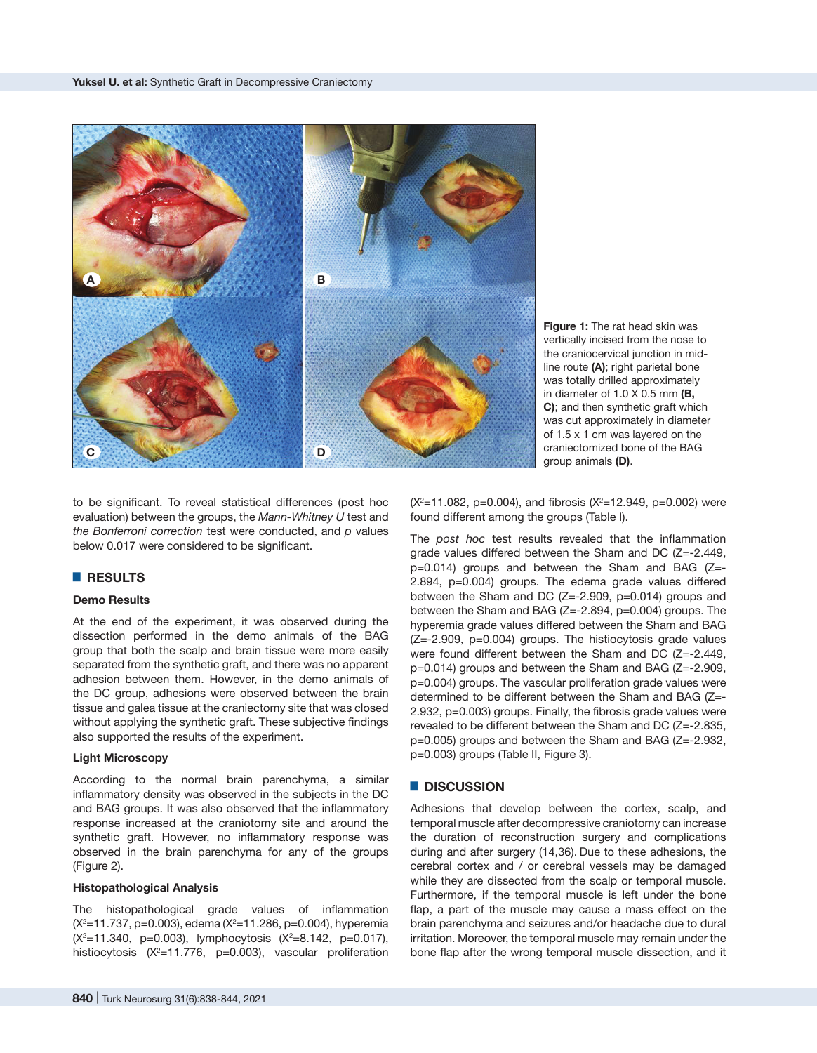

**Figure 1:** The rat head skin was vertically incised from the nose to the craniocervical junction in midline route **(A)**; right parietal bone was totally drilled approximately in diameter of 1.0 X 0.5 mm **(B, C)**; and then synthetic graft which was cut approximately in diameter of 1.5 x 1 cm was layered on the craniectomized bone of the BAG group animals **(D)**.

to be significant. To reveal statistical differences (post hoc evaluation) between the groups, the *Mann-Whitney U* test and *the Bonferroni correction* test were conducted, and *p* values below 0.017 were considered to be significant.

# █ **RESULTS**

## **Demo Results**

At the end of the experiment, it was observed during the dissection performed in the demo animals of the BAG group that both the scalp and brain tissue were more easily separated from the synthetic graft, and there was no apparent adhesion between them. However, in the demo animals of the DC group, adhesions were observed between the brain tissue and galea tissue at the craniectomy site that was closed without applying the synthetic graft. These subjective findings also supported the results of the experiment.

## **Light Microscopy**

According to the normal brain parenchyma, a similar inflammatory density was observed in the subjects in the DC and BAG groups. It was also observed that the inflammatory response increased at the craniotomy site and around the synthetic graft. However, no inflammatory response was observed in the brain parenchyma for any of the groups (Figure 2).

## **Histopathological Analysis**

The histopathological grade values of inflammation (X<sup>2</sup>=11.737, p=0.003), edema (X<sup>2</sup>=11.286, p=0.004), hyperemia (X<sup>2</sup>=11.340, p=0.003), lymphocytosis (X<sup>2</sup>=8.142, p=0.017), histiocytosis (X<sup>2</sup>=11.776, p=0.003), vascular proliferation

 $(X^2=11.082, p=0.004)$ , and fibrosis  $(X^2=12.949, p=0.002)$  were found different among the groups (Table I).

The *post hoc* test results revealed that the inflammation grade values differed between the Sham and DC (Z=-2.449, p=0.014) groups and between the Sham and BAG (Z=- 2.894, p=0.004) groups. The edema grade values differed between the Sham and DC (Z=-2.909, p=0.014) groups and between the Sham and BAG (Z=-2.894, p=0.004) groups. The hyperemia grade values differed between the Sham and BAG (Z=-2.909, p=0.004) groups. The histiocytosis grade values were found different between the Sham and DC (Z=-2.449, p=0.014) groups and between the Sham and BAG (Z=-2.909, p=0.004) groups. The vascular proliferation grade values were determined to be different between the Sham and BAG (Z=- 2.932, p=0.003) groups. Finally, the fibrosis grade values were revealed to be different between the Sham and DC (Z=-2.835, p=0.005) groups and between the Sham and BAG (Z=-2.932, p=0.003) groups (Table II, Figure 3).

## █ **DISCUSSION**

Adhesions that develop between the cortex, scalp, and temporal muscle after decompressive craniotomy can increase the duration of reconstruction surgery and complications during and after surgery (14,36). Due to these adhesions, the cerebral cortex and / or cerebral vessels may be damaged while they are dissected from the scalp or temporal muscle. Furthermore, if the temporal muscle is left under the bone flap, a part of the muscle may cause a mass effect on the brain parenchyma and seizures and/or headache due to dural irritation. Moreover, the temporal muscle may remain under the bone flap after the wrong temporal muscle dissection, and it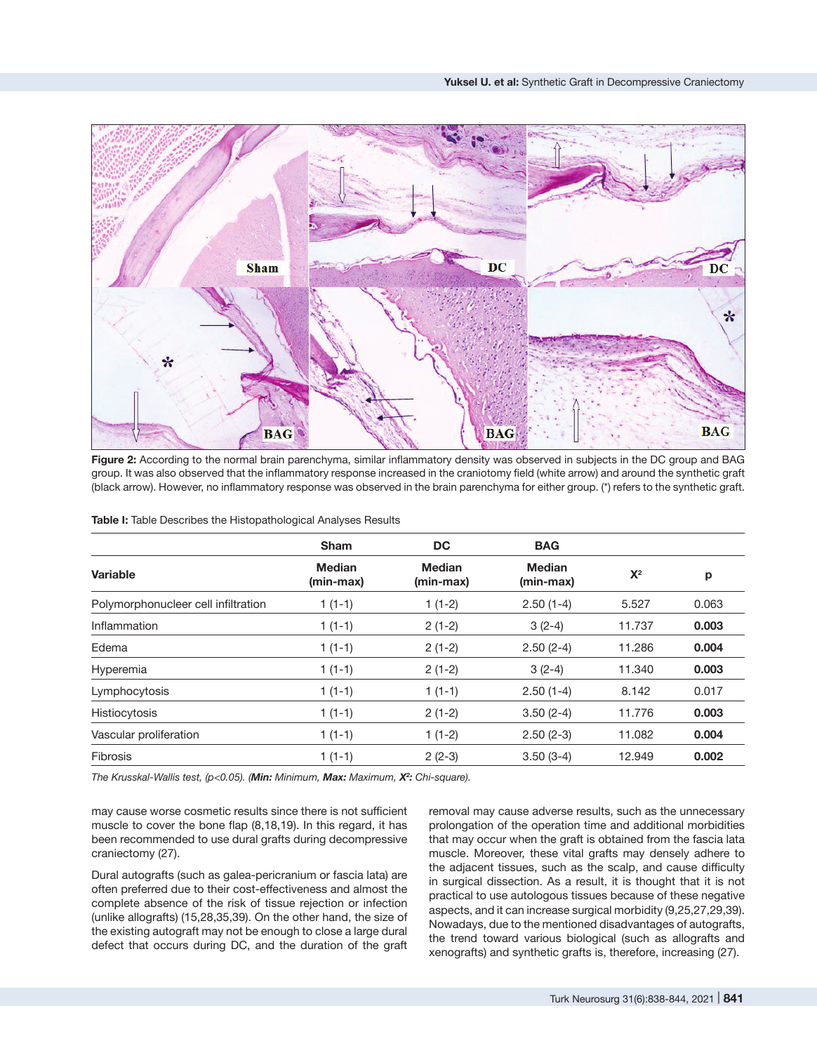

**Figure 2:** According to the normal brain parenchyma, similar inflammatory density was observed in subjects in the DC group and BAG group. It was also observed that the inflammatory response increased in the craniotomy field (white arrow) and around the synthetic graft (black arrow). However, no inflammatory response was observed in the brain parenchyma for either group. (\*) refers to the synthetic graft.

|                                     | <b>Sham</b>                | DC.                        | <b>BAG</b>                 |        |       |
|-------------------------------------|----------------------------|----------------------------|----------------------------|--------|-------|
| <b>Variable</b>                     | <b>Median</b><br>(min-max) | <b>Median</b><br>(min-max) | <b>Median</b><br>(min-max) | $X^2$  | р     |
| Polymorphonucleer cell infiltration | $1(1-1)$                   | $1(1-2)$                   | $2.50(1-4)$                | 5.527  | 0.063 |
| Inflammation                        | $1(1-1)$                   | $2(1-2)$                   | $3(2-4)$                   | 11.737 | 0.003 |
| Edema                               | $1(1-1)$                   | $2(1-2)$                   | $2.50(2-4)$                | 11.286 | 0.004 |
| Hyperemia                           | $1(1-1)$                   | $2(1-2)$                   | $3(2-4)$                   | 11.340 | 0.003 |
| Lymphocytosis                       | $1(1-1)$                   | $1(1-1)$                   | $2.50(1-4)$                | 8.142  | 0.017 |
| Histiocytosis                       | $1(1-1)$                   | $2(1-2)$                   | $3.50(2-4)$                | 11.776 | 0.003 |
| Vascular proliferation              | $1(1-1)$                   | $1(1-2)$                   | $2.50(2-3)$                | 11.082 | 0.004 |
| <b>Fibrosis</b>                     | $1(1-1)$                   | $2(2-3)$                   | $3.50(3-4)$                | 12.949 | 0.002 |

*The Krusskal-Wallis test, (p<0.05). (Min: Minimum, Max: Maximum, X2 : Chi-square).*

may cause worse cosmetic results since there is not sufficient muscle to cover the bone flap (8,18,19). In this regard, it has been recommended to use dural grafts during decompressive craniectomy (27).

Dural autografts (such as galea-pericranium or fascia lata) are often preferred due to their cost-effectiveness and almost the complete absence of the risk of tissue rejection or infection (unlike allografts) (15,28,35,39). On the other hand, the size of the existing autograft may not be enough to close a large dural defect that occurs during DC, and the duration of the graft removal may cause adverse results, such as the unnecessary prolongation of the operation time and additional morbidities that may occur when the graft is obtained from the fascia lata muscle. Moreover, these vital grafts may densely adhere to the adjacent tissues, such as the scalp, and cause difficulty in surgical dissection. As a result, it is thought that it is not practical to use autologous tissues because of these negative aspects, and it can increase surgical morbidity (9,25,27,29,39). Nowadays, due to the mentioned disadvantages of autografts, the trend toward various biological (such as allografts and xenografts) and synthetic grafts is, therefore, increasing (27).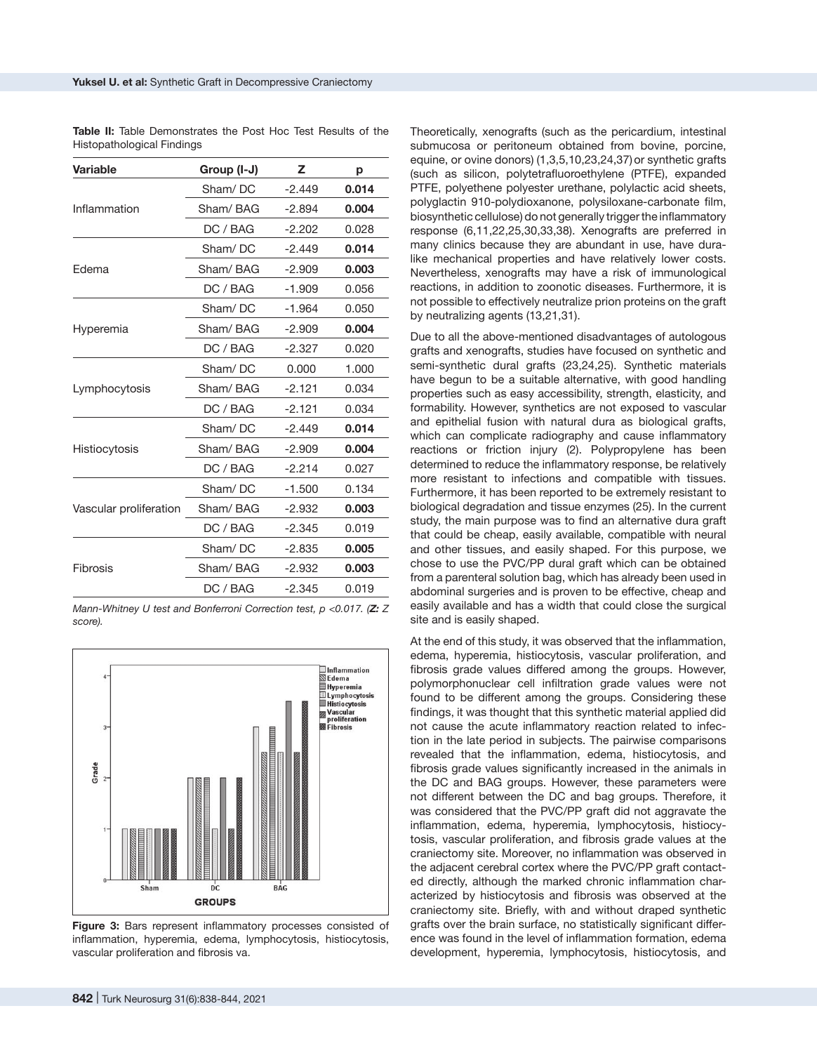| <b>Variable</b>        | Group (I-J) | z        | p     |
|------------------------|-------------|----------|-------|
|                        | Sham/DC     | $-2.449$ | 0.014 |
| Inflammation           | Sham/BAG    | $-2.894$ | 0.004 |
|                        | DC / BAG    | $-2.202$ | 0.028 |
|                        | Sham/DC     | $-2.449$ | 0.014 |
| Edema                  | Sham/BAG    | $-2.909$ | 0.003 |
|                        | DC / BAG    | $-1.909$ | 0.056 |
|                        | Sham/DC     | $-1.964$ | 0.050 |
| Hyperemia              | Sham/BAG    | $-2.909$ | 0.004 |
|                        | DC / BAG    | $-2.327$ | 0.020 |
|                        | Sham/DC     | 0.000    | 1.000 |
| Lymphocytosis          | Sham/BAG    | $-2.121$ | 0.034 |
|                        | DC / BAG    | $-2.121$ | 0.034 |
|                        | Sham/DC     | $-2.449$ | 0.014 |
| Histiocytosis          | Sham/BAG    | $-2.909$ | 0.004 |
|                        | DC / BAG    | $-2.214$ | 0.027 |
|                        | Sham/DC     | $-1.500$ | 0.134 |
| Vascular proliferation | Sham/BAG    | $-2.932$ | 0.003 |
|                        | DC / BAG    | $-2.345$ | 0.019 |
|                        | Sham/DC     | $-2.835$ | 0.005 |
| Fibrosis               | Sham/BAG    | $-2.932$ | 0.003 |
|                        | DC / BAG    | $-2.345$ | 0.019 |

**Table II:** Table Demonstrates the Post Hoc Test Results of the Histopathological Findings

*Mann-Whitney U test and Bonferroni Correction test, p <0.017. (Z: Z score).*



**Figure 3:** Bars represent inflammatory processes consisted of inflammation, hyperemia, edema, lymphocytosis, histiocytosis, vascular proliferation and fibrosis va.

Theoretically, xenografts (such as the pericardium, intestinal submucosa or peritoneum obtained from bovine, porcine, equine, or ovine donors) (1,3,5,10,23,24,37) or synthetic grafts (such as silicon, polytetrafluoroethylene (PTFE), expanded PTFE, polyethene polyester urethane, polylactic acid sheets, polyglactin 910-polydioxanone, polysiloxane-carbonate film, biosynthetic cellulose) do not generally trigger the inflammatory response (6,11,22,25,30,33,38). Xenografts are preferred in many clinics because they are abundant in use, have duralike mechanical properties and have relatively lower costs. Nevertheless, xenografts may have a risk of immunological reactions, in addition to zoonotic diseases. Furthermore, it is not possible to effectively neutralize prion proteins on the graft by neutralizing agents (13,21,31).

Due to all the above-mentioned disadvantages of autologous grafts and xenografts, studies have focused on synthetic and semi-synthetic dural grafts (23,24,25). Synthetic materials have begun to be a suitable alternative, with good handling properties such as easy accessibility, strength, elasticity, and formability. However, synthetics are not exposed to vascular and epithelial fusion with natural dura as biological grafts, which can complicate radiography and cause inflammatory reactions or friction injury (2). Polypropylene has been determined to reduce the inflammatory response, be relatively more resistant to infections and compatible with tissues. Furthermore, it has been reported to be extremely resistant to biological degradation and tissue enzymes (25). In the current study, the main purpose was to find an alternative dura graft that could be cheap, easily available, compatible with neural and other tissues, and easily shaped. For this purpose, we chose to use the PVC/PP dural graft which can be obtained from a parenteral solution bag, which has already been used in abdominal surgeries and is proven to be effective, cheap and easily available and has a width that could close the surgical site and is easily shaped.

At the end of this study, it was observed that the inflammation, edema, hyperemia, histiocytosis, vascular proliferation, and fibrosis grade values differed among the groups. However, polymorphonuclear cell infiltration grade values were not found to be different among the groups. Considering these findings, it was thought that this synthetic material applied did not cause the acute inflammatory reaction related to infection in the late period in subjects. The pairwise comparisons revealed that the inflammation, edema, histiocytosis, and fibrosis grade values significantly increased in the animals in the DC and BAG groups. However, these parameters were not different between the DC and bag groups. Therefore, it was considered that the PVC/PP graft did not aggravate the inflammation, edema, hyperemia, lymphocytosis, histiocytosis, vascular proliferation, and fibrosis grade values at the craniectomy site. Moreover, no inflammation was observed in the adjacent cerebral cortex where the PVC/PP graft contacted directly, although the marked chronic inflammation characterized by histiocytosis and fibrosis was observed at the craniectomy site. Briefly, with and without draped synthetic grafts over the brain surface, no statistically significant difference was found in the level of inflammation formation, edema development, hyperemia, lymphocytosis, histiocytosis, and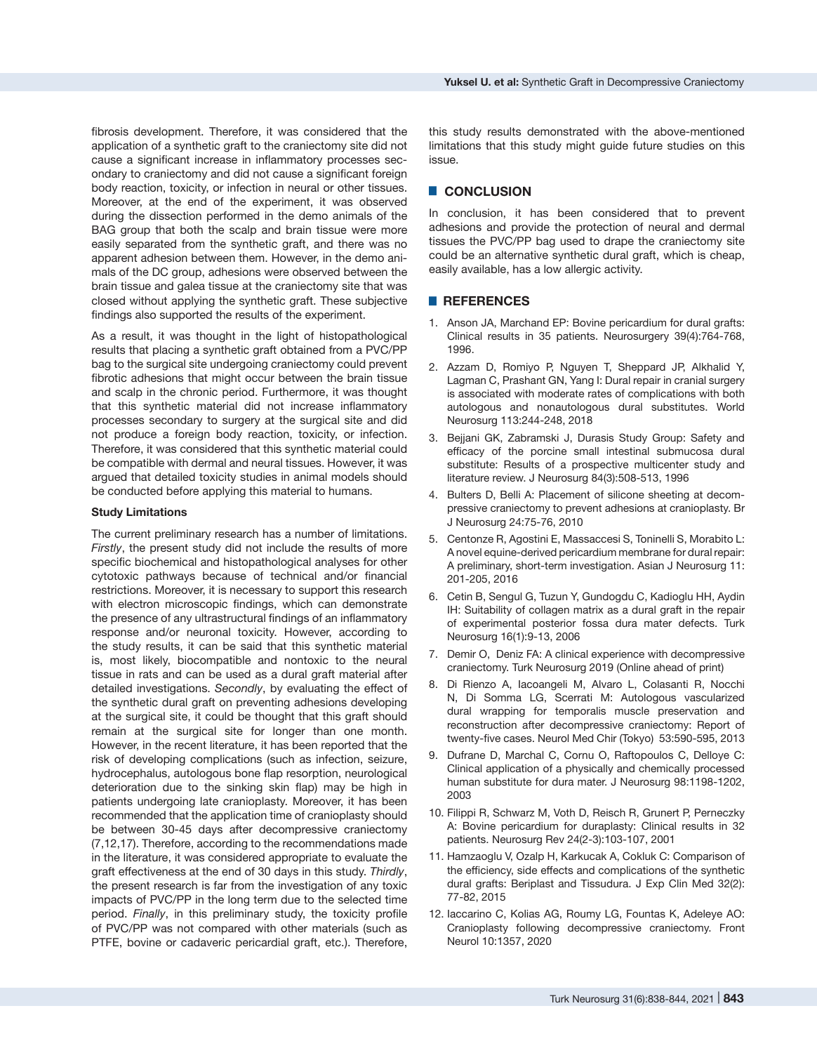fibrosis development. Therefore, it was considered that the application of a synthetic graft to the craniectomy site did not cause a significant increase in inflammatory processes secondary to craniectomy and did not cause a significant foreign body reaction, toxicity, or infection in neural or other tissues. Moreover, at the end of the experiment, it was observed during the dissection performed in the demo animals of the BAG group that both the scalp and brain tissue were more easily separated from the synthetic graft, and there was no apparent adhesion between them. However, in the demo animals of the DC group, adhesions were observed between the brain tissue and galea tissue at the craniectomy site that was closed without applying the synthetic graft. These subjective findings also supported the results of the experiment.

As a result, it was thought in the light of histopathological results that placing a synthetic graft obtained from a PVC/PP bag to the surgical site undergoing craniectomy could prevent fibrotic adhesions that might occur between the brain tissue and scalp in the chronic period. Furthermore, it was thought that this synthetic material did not increase inflammatory processes secondary to surgery at the surgical site and did not produce a foreign body reaction, toxicity, or infection. Therefore, it was considered that this synthetic material could be compatible with dermal and neural tissues. However, it was argued that detailed toxicity studies in animal models should be conducted before applying this material to humans.

### **Study Limitations**

The current preliminary research has a number of limitations. *Firstly*, the present study did not include the results of more specific biochemical and histopathological analyses for other cytotoxic pathways because of technical and/or financial restrictions. Moreover, it is necessary to support this research with electron microscopic findings, which can demonstrate the presence of any ultrastructural findings of an inflammatory response and/or neuronal toxicity. However, according to the study results, it can be said that this synthetic material is, most likely, biocompatible and nontoxic to the neural tissue in rats and can be used as a dural graft material after detailed investigations. *Secondly*, by evaluating the effect of the synthetic dural graft on preventing adhesions developing at the surgical site, it could be thought that this graft should remain at the surgical site for longer than one month. However, in the recent literature, it has been reported that the risk of developing complications (such as infection, seizure, hydrocephalus, autologous bone flap resorption, neurological deterioration due to the sinking skin flap) may be high in patients undergoing late cranioplasty. Moreover, it has been recommended that the application time of cranioplasty should be between 30-45 days after decompressive craniectomy (7,12,17). Therefore, according to the recommendations made in the literature, it was considered appropriate to evaluate the graft effectiveness at the end of 30 days in this study. *Thirdly*, the present research is far from the investigation of any toxic impacts of PVC/PP in the long term due to the selected time period. *Finally*, in this preliminary study, the toxicity profile of PVC/PP was not compared with other materials (such as PTFE, bovine or cadaveric pericardial graft, etc.). Therefore,

this study results demonstrated with the above-mentioned limitations that this study might guide future studies on this issue.

# █ **CONCLUSION**

In conclusion, it has been considered that to prevent adhesions and provide the protection of neural and dermal tissues the PVC/PP bag used to drape the craniectomy site could be an alternative synthetic dural graft, which is cheap, easily available, has a low allergic activity.

## █ **REFERENCES**

- 1. [Anson JA](https://www.ncbi.nlm.nih.gov/pubmed/?term=Anson JA%5BAuthor%5D&cauthor=true&cauthor_uid=8880771), [Marchand EP:](https://www.ncbi.nlm.nih.gov/pubmed/?term=Marchand EP%5BAuthor%5D&cauthor=true&cauthor_uid=8880771) Bovine pericardium for dural grafts: Clinical results in 35 patients. [Neurosurgery](https://www.ncbi.nlm.nih.gov/pubmed/8880771) 39(4):764-768, 1996.
- 2. [Azzam D](https://www.ncbi.nlm.nih.gov/pubmed/?term=Azzam D%5BAuthor%5D&cauthor=true&cauthor_uid=29374609), [Romiyo P](https://www.ncbi.nlm.nih.gov/pubmed/?term=Romiyo P%5BAuthor%5D&cauthor=true&cauthor_uid=29374609), [Nguyen T](https://www.ncbi.nlm.nih.gov/pubmed/?term=Nguyen T%5BAuthor%5D&cauthor=true&cauthor_uid=29374609), [Sheppard JP,](https://www.ncbi.nlm.nih.gov/pubmed/?term=Sheppard JP%5BAuthor%5D&cauthor=true&cauthor_uid=29374609) [Alkhalid Y](https://www.ncbi.nlm.nih.gov/pubmed/?term=Alkhalid Y%5BAuthor%5D&cauthor=true&cauthor_uid=29374609), [Lagman C,](https://www.ncbi.nlm.nih.gov/pubmed/?term=Lagman C%5BAuthor%5D&cauthor=true&cauthor_uid=29374609) Prashant GN, Yang I: Dural repair in cranial surgery is associated with moderate rates of complications with both autologous and nonautologous dural substitutes. [World](https://www.ncbi.nlm.nih.gov/pubmed/?term=Dural+repair+in+cranial+surgery+is+associated+with+moderate+rates+of+complications+with+both+autologous+and+nonautologous+dural+substitutes.) [Neurosurg](https://www.ncbi.nlm.nih.gov/pubmed/?term=Dural+repair+in+cranial+surgery+is+associated+with+moderate+rates+of+complications+with+both+autologous+and+nonautologous+dural+substitutes.) 113:244-248, 2018
- 3. [Bejjani GK](https://www.ncbi.nlm.nih.gov/pubmed/?term=Bejjani GK%5BAuthor%5D&cauthor=true&cauthor_uid=17564175), [Zabramski J,](https://www.ncbi.nlm.nih.gov/pubmed/?term=Zabramski J%5BAuthor%5D&cauthor=true&cauthor_uid=17564175) [Durasis Study Group:](https://www.ncbi.nlm.nih.gov/pubmed/?term=Durasis Study Group%5BCorporate Author%5D) Safety and efficacy of the porcine small intestinal submucosa dural substitute: Results of a prospective multicenter study and literature review. [J Neurosurg](https://www.ncbi.nlm.nih.gov/pubmed/?term=Par%C3%ADzek+J%2C+Husek+Z%2C+Mericka+P%2C+T%C3%A9ra+J%2C+Nemecek+S%2C+Spacek+J) 84(3):508-513, 1996
- 4. [Bulters D,](https://www.ncbi.nlm.nih.gov/pubmed/?term=Bulters D%5BAuthor%5D&cauthor=true&cauthor_uid=20158357) [Belli A:](https://www.ncbi.nlm.nih.gov/pubmed/?term=Belli A%5BAuthor%5D&cauthor=true&cauthor_uid=20158357) Placement of silicone sheeting at decompressive craniectomy to prevent adhesions at cranioplasty. [Br](https://www.ncbi.nlm.nih.gov/pubmed/?term=Placement+of+silicone+sheeting+at+decompressive+craniectomy+to+prevent+adhesions+at+cranioplasty) [J Neurosurg](https://www.ncbi.nlm.nih.gov/pubmed/?term=Placement+of+silicone+sheeting+at+decompressive+craniectomy+to+prevent+adhesions+at+cranioplasty) 24:75-76, 2010
- 5. [Centonze R](https://www.ncbi.nlm.nih.gov/pubmed/?term=Centonze R%5BAuthor%5D&cauthor=true&cauthor_uid=27366245), [Agostini E](https://www.ncbi.nlm.nih.gov/pubmed/?term=Agostini E%5BAuthor%5D&cauthor=true&cauthor_uid=27366245), [Massaccesi S,](https://www.ncbi.nlm.nih.gov/pubmed/?term=Massaccesi S%5BAuthor%5D&cauthor=true&cauthor_uid=27366245) [Toninelli S,](https://www.ncbi.nlm.nih.gov/pubmed/?term=Toninelli S%5BAuthor%5D&cauthor=true&cauthor_uid=27366245) [Morabito L](https://www.ncbi.nlm.nih.gov/pubmed/?term=Morabito L%5BAuthor%5D&cauthor=true&cauthor_uid=27366245): A novel equine-derived pericardium membrane for dural repair: A preliminary, short-term investigation. [Asian J Neurosurg](https://www.ncbi.nlm.nih.gov/pubmed/?term=Centonze+R%2C+Agostini+E%2C+Massaccesi+S%2C+Toninelli+S%2C+Morabito+L) 11: 201-205, 2016
- 6. Cetin B, Sengul G, Tuzun Y, Gundogdu C, Kadioglu HH, Aydin IH: Suitability of collagen matrix as a dural graft in the repair of experimental posterior fossa dura mater defects. Turk Neurosurg 16(1):9-13, 2006
- 7. [Demir](https://pubmed.ncbi.nlm.nih.gov/?sort=pubdate&size=100&term=Demir+%C3%96&cauthor_id=30829390) O, [Deniz](https://pubmed.ncbi.nlm.nih.gov/?sort=pubdate&size=100&term=Deniz+FE&cauthor_id=30829390) FA: A clinical experience with decompressive craniectomy. Turk Neurosurg 2019 (Online ahead of print)
- 8. [Di Rienzo A](https://www.ncbi.nlm.nih.gov/pubmed/?term=Di Rienzo A%5BAuthor%5D&cauthor=true&cauthor_uid=24067769), [Iacoangeli M,](https://www.ncbi.nlm.nih.gov/pubmed/?term=Iacoangeli M%5BAuthor%5D&cauthor=true&cauthor_uid=24067769) [Alvaro L,](https://www.ncbi.nlm.nih.gov/pubmed/?term=Alvaro L%5BAuthor%5D&cauthor=true&cauthor_uid=24067769) [Colasanti R,](https://www.ncbi.nlm.nih.gov/pubmed/?term=Colasanti R%5BAuthor%5D&cauthor=true&cauthor_uid=24067769) [Nocchi](https://www.ncbi.nlm.nih.gov/pubmed/?term=Nocchi N%5BAuthor%5D&cauthor=true&cauthor_uid=24067769) [N](https://www.ncbi.nlm.nih.gov/pubmed/?term=Nocchi N%5BAuthor%5D&cauthor=true&cauthor_uid=24067769), [Di Somma LG,](https://www.ncbi.nlm.nih.gov/pubmed/?term=Di Somma LG%5BAuthor%5D&cauthor=true&cauthor_uid=24067769) Scerrati M: Autologous vascularized dural wrapping for temporalis muscle preservation and reconstruction after decompressive craniectomy: Report of twenty-five cases. [Neurol Med Chir \(Tokyo\)](https://www.ncbi.nlm.nih.gov/pubmed/?term=Autologous+vascularized+dural+wrapping+for+temporalis+muscle+preservation+and+reconstruction+after+decompressive+craniectomy%3A+report+of+twenty-five+cases.) 53:590-595, 2013
- 9. [Dufrane D](https://www.ncbi.nlm.nih.gov/pubmed/?term=Dufrane D%5BAuthor%5D&cauthor=true&cauthor_uid=12816264), [Marchal C](https://www.ncbi.nlm.nih.gov/pubmed/?term=Marchal C%5BAuthor%5D&cauthor=true&cauthor_uid=12816264), [Cornu O,](https://www.ncbi.nlm.nih.gov/pubmed/?term=Cornu O%5BAuthor%5D&cauthor=true&cauthor_uid=12816264) [Raftopoulos C](https://www.ncbi.nlm.nih.gov/pubmed/?term=Raftopoulos C%5BAuthor%5D&cauthor=true&cauthor_uid=12816264), [Delloye C](https://www.ncbi.nlm.nih.gov/pubmed/?term=Delloye C%5BAuthor%5D&cauthor=true&cauthor_uid=12816264): Clinical application of a physically and chemically processed human substitute for dura mater. [J Neurosurg](https://www.ncbi.nlm.nih.gov/pubmed/?term=3.%09Dufrane+D%2C+Cornu+O%2C+Marchal+C%2C+Raftopoulos+C%2C+Delloye+C%2C+Schneider+Y) 98:1198-1202, 2003
- 10. [Filippi R,](https://www.ncbi.nlm.nih.gov/pubmed/?term=Filippi R%5BAuthor%5D&cauthor=true&cauthor_uid=11485229) [Schwarz M](https://www.ncbi.nlm.nih.gov/pubmed/?term=Schwarz M%5BAuthor%5D&cauthor=true&cauthor_uid=11485229), [Voth D,](https://www.ncbi.nlm.nih.gov/pubmed/?term=Voth D%5BAuthor%5D&cauthor=true&cauthor_uid=11485229) [Reisch R,](https://www.ncbi.nlm.nih.gov/pubmed/?term=Reisch R%5BAuthor%5D&cauthor=true&cauthor_uid=11485229) [Grunert P,](https://www.ncbi.nlm.nih.gov/pubmed/?term=Grunert P%5BAuthor%5D&cauthor=true&cauthor_uid=11485229) [Perneczky](https://www.ncbi.nlm.nih.gov/pubmed/?term=Perneczky A%5BAuthor%5D&cauthor=true&cauthor_uid=11485229) [A](https://www.ncbi.nlm.nih.gov/pubmed/?term=Perneczky A%5BAuthor%5D&cauthor=true&cauthor_uid=11485229): Bovine pericardium for duraplasty: Clinical results in 32 patients. [Neurosurg Rev](https://www.ncbi.nlm.nih.gov/pubmed/?term=Filippi+R%2C+Schwarz+M%2C+Voth+D%2C+Reisch+R%2C+Grunert+P%2C+Perneczky+A) 24(2-3):103-107, 2001
- 11. Hamzaoglu V, Ozalp H, Karkucak A, Cokluk C: Comparison of the efficiency, side effects and complications of the synthetic dural grafts: Beriplast and Tissudura. J Exp Clin Med 32(2): 77-82, 2015
- 12. [Iaccarino](https://pubmed.ncbi.nlm.nih.gov/?sort=date&size=100&term=Iaccarino+C&cauthor_id=32063880) C[, Kolias](https://pubmed.ncbi.nlm.nih.gov/?sort=date&size=100&term=Kolias+AG&cauthor_id=32063880) AG, [Roumy](https://pubmed.ncbi.nlm.nih.gov/?sort=date&size=100&term=Roumy+LG&cauthor_id=32063880) LG, [Fountas](https://pubmed.ncbi.nlm.nih.gov/?sort=date&size=100&term=Fountas+K&cauthor_id=32063880) K, [Adeleye](https://pubmed.ncbi.nlm.nih.gov/?sort=date&size=100&term=Adeleye+AO&cauthor_id=32063880) AO: Cranioplasty following decompressive craniectomy. Front Neurol 10:1357, 2020